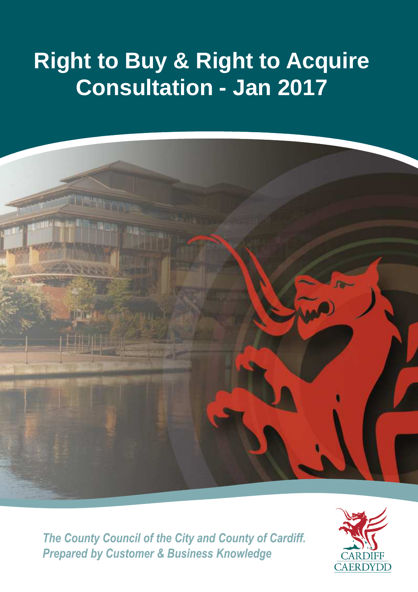# **Right to Buy & Right to Acquire Consultation - Jan 2017**



*The County Council of the City and County of Cardiff. Prepared by Customer & Business Knowledge*

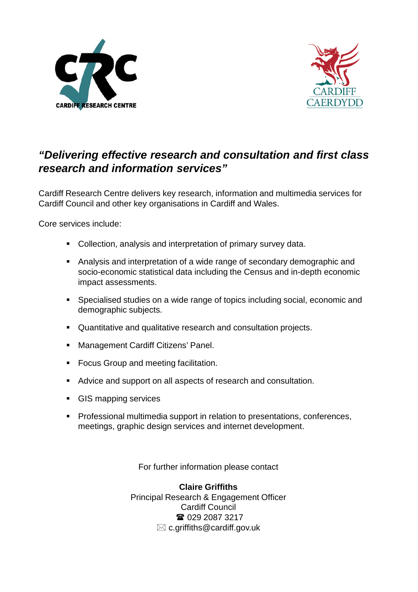



## **"Delivering effective research and consultation and first class research and information services"**

Cardiff Research Centre delivers key research, information and multimedia services for Cardiff Council and other key organisations in Cardiff and Wales.

Core services include:

- Collection, analysis and interpretation of primary survey data.
- Analysis and interpretation of a wide range of secondary demographic and socio-economic statistical data including the Census and in-depth economic impact assessments.
- Specialised studies on a wide range of topics including social, economic and demographic subjects.
- Quantitative and qualitative research and consultation projects.
- **Management Cardiff Citizens' Panel.**
- **Focus Group and meeting facilitation.**
- Advice and support on all aspects of research and consultation.
- **GIS mapping services**
- **Professional multimedia support in relation to presentations, conferences,** meetings, graphic design services and internet development.

For further information please contact

**Claire Griffiths** Principal Research & Engagement Officer Cardiff Council ■ 029 2087 3217  $\boxtimes$  c.griffiths@cardiff.gov.uk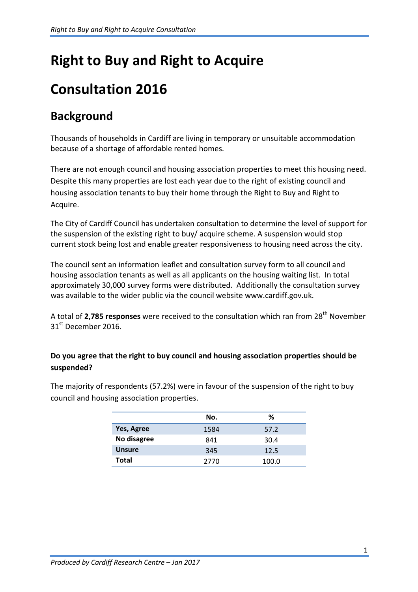# **Right to Buy and Right to Acquire**

# **Consultation 2016**

# **Background**

Thousands of households in Cardiff are living in temporary or unsuitable accommodation because of a shortage of affordable rented homes.

There are not enough council and housing association properties to meet this housing need. Despite this many properties are lost each year due to the right of existing council and housing association tenants to buy their home through the Right to Buy and Right to Acquire.

The City of Cardiff Council has undertaken consultation to determine the level of support for the suspension of the existing right to buy/ acquire scheme. A suspension would stop current stock being lost and enable greater responsiveness to housing need across the city.

The council sent an information leaflet and consultation survey form to all council and housing association tenants as well as all applicants on the housing waiting list. In total approximately 30,000 survey forms were distributed. Additionally the consultation survey was available to the wider public via the council website www.cardiff.gov.uk.

A total of 2,785 responses were received to the consultation which ran from 28<sup>th</sup> November 31<sup>st</sup> December 2016.

### **Do you agree that the right to buy council and housing association properties should be suspended?**

The majority of respondents (57.2%) were in favour of the suspension of the right to buy council and housing association properties.

|               | No.  | ℅     |
|---------------|------|-------|
| Yes, Agree    | 1584 | 57.2  |
| No disagree   | 841  | 30.4  |
| <b>Unsure</b> | 345  | 12.5  |
| Total         | 2770 | 100.0 |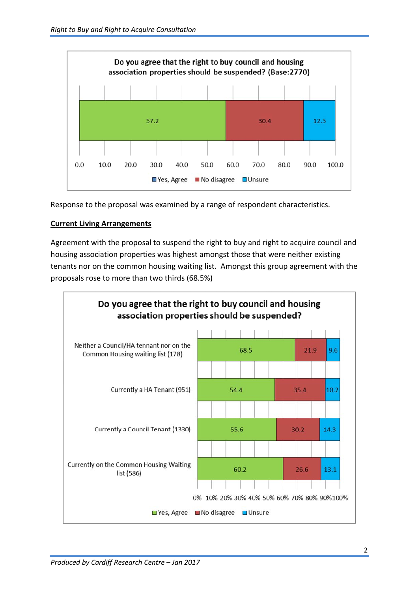

Response to the proposal was examined by a range of respondent characteristics.

#### **Current Living Arrangements**

Agreement with the proposal to suspend the right to buy and right to acquire council and housing association properties was highest amongst those that were neither existing tenants nor on the common housing waiting list. Amongst this group agreement with the proposals rose to more than two thirds (68.5%)

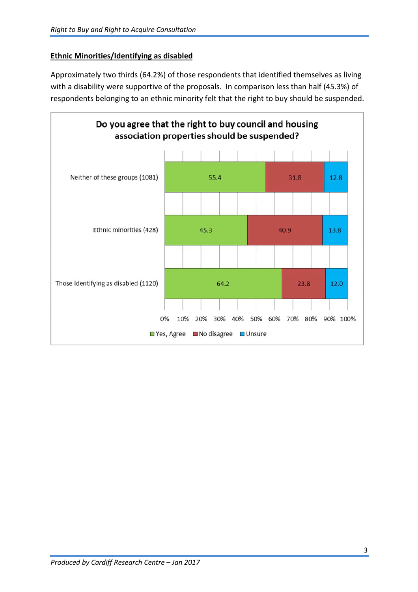#### **Ethnic Minorities/Identifying as disabled**

Approximately two thirds (64.2%) of those respondents that identified themselves as living with a disability were supportive of the proposals. In comparison less than half (45.3%) of respondents belonging to an ethnic minority felt that the right to buy should be suspended.

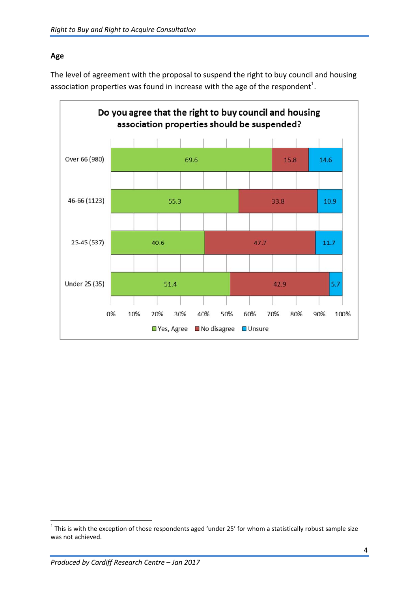#### **Age**

The level of agreement with the proposal to suspend the right to buy council and housing association properties was found in increase with the age of the respondent<sup>1</sup>.



l

 $^1$  This is with the exception of those respondents aged 'under 25' for whom a statistically robust sample size was not achieved.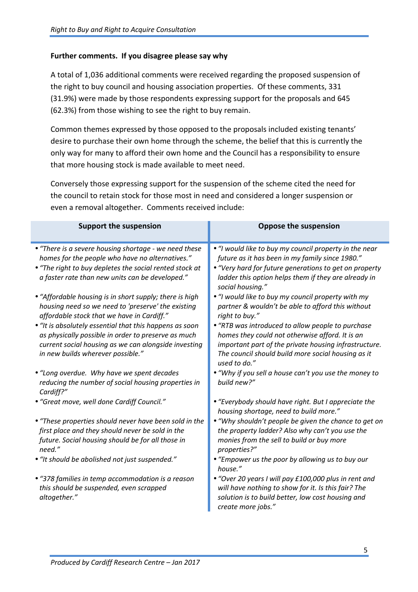#### **Further comments. If you disagree please say why**

A total of 1,036 additional comments were received regarding the proposed suspension of the right to buy council and housing association properties. Of these comments, 331 (31.9%) were made by those respondents expressing support for the proposals and 645 (62.3%) from those wishing to see the right to buy remain.

Common themes expressed by those opposed to the proposals included existing tenants' desire to purchase their own home through the scheme, the belief that this is currently the only way for many to afford their own home and the Council has a responsibility to ensure that more housing stock is made available to meet need.

Conversely those expressing support for the suspension of the scheme cited the need for the council to retain stock for those most in need and considered a longer suspension or even a removal altogether. Comments received include:

| <b>Support the suspension</b>                                                                                                                                                                                                                                                                                                                                                                                                                                                                                                                                   | <b>Oppose the suspension</b>                                                                                                                                                                                                                                                                                                                                                                                                                                                                                                                  |
|-----------------------------------------------------------------------------------------------------------------------------------------------------------------------------------------------------------------------------------------------------------------------------------------------------------------------------------------------------------------------------------------------------------------------------------------------------------------------------------------------------------------------------------------------------------------|-----------------------------------------------------------------------------------------------------------------------------------------------------------------------------------------------------------------------------------------------------------------------------------------------------------------------------------------------------------------------------------------------------------------------------------------------------------------------------------------------------------------------------------------------|
| • "There is a severe housing shortage - we need these<br>homes for the people who have no alternatives."<br>• "The right to buy depletes the social rented stock at<br>a faster rate than new units can be developed."<br>• "Affordable housing is in short supply; there is high<br>housing need so we need to 'preserve' the existing<br>affordable stock that we have in Cardiff."<br>• "It is absolutely essential that this happens as soon<br>as physically possible in order to preserve as much<br>current social housing as we can alongside investing | . "I would like to buy my council property in the near<br>future as it has been in my family since 1980."<br>• "Very hard for future generations to get on property<br>ladder this option helps them if they are already in<br>social housing."<br>. "I would like to buy my council property with my<br>partner & wouldn't be able to afford this without<br>right to buy."<br>• "RTB was introduced to allow people to purchase<br>homes they could not otherwise afford. It is an<br>important part of the private housing infrastructure. |
| in new builds wherever possible."<br>• "Long overdue. Why have we spent decades<br>reducing the number of social housing properties in                                                                                                                                                                                                                                                                                                                                                                                                                          | The council should build more social housing as it<br>used to do."<br>. "Why if you sell a house can't you use the money to<br>build new?"                                                                                                                                                                                                                                                                                                                                                                                                    |
| Cardiff?"<br>• "Great move, well done Cardiff Council."                                                                                                                                                                                                                                                                                                                                                                                                                                                                                                         | • "Everybody should have right. But I appreciate the<br>housing shortage, need to build more."                                                                                                                                                                                                                                                                                                                                                                                                                                                |
| • "These properties should never have been sold in the<br>first place and they should never be sold in the<br>future. Social housing should be for all those in<br>need."<br>• "It should be abolished not just suspended."                                                                                                                                                                                                                                                                                                                                     | • "Why shouldn't people be given the chance to get on<br>the property ladder? Also why can't you use the<br>monies from the sell to build or buy more<br>properties?"<br>• "Empower us the poor by allowing us to buy our                                                                                                                                                                                                                                                                                                                     |
| • "378 families in temp accommodation is a reason<br>this should be suspended, even scrapped<br>altogether."                                                                                                                                                                                                                                                                                                                                                                                                                                                    | house."<br>• "Over 20 years I will pay £100,000 plus in rent and<br>will have nothing to show for it. Is this fair? The<br>solution is to build better, low cost housing and<br>create more jobs."                                                                                                                                                                                                                                                                                                                                            |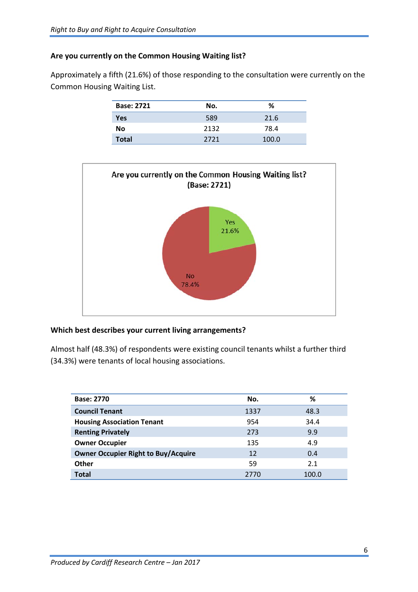#### **Are you currently on the Common Housing Waiting list?**

Approximately a fifth (21.6%) of those responding to the consultation were currently on the Common Housing Waiting List.

| <b>Base: 2721</b> | No.  | %     |
|-------------------|------|-------|
| Yes               | 589  | 21.6  |
| No                | 2132 | 78.4  |
| <b>Total</b>      | 2721 | 100.0 |



#### **Which best describes your current living arrangements?**

Almost half (48.3%) of respondents were existing council tenants whilst a further third (34.3%) were tenants of local housing associations.

| <b>Base: 2770</b>                          | No.  | ℅     |
|--------------------------------------------|------|-------|
| <b>Council Tenant</b>                      | 1337 | 48.3  |
| <b>Housing Association Tenant</b>          | 954  | 34.4  |
| <b>Renting Privately</b>                   | 273  | 9.9   |
| <b>Owner Occupier</b>                      | 135  | 4.9   |
| <b>Owner Occupier Right to Buy/Acquire</b> | 12   | 0.4   |
| Other                                      | 59   | 2.1   |
| <b>Total</b>                               | 2770 | 100.0 |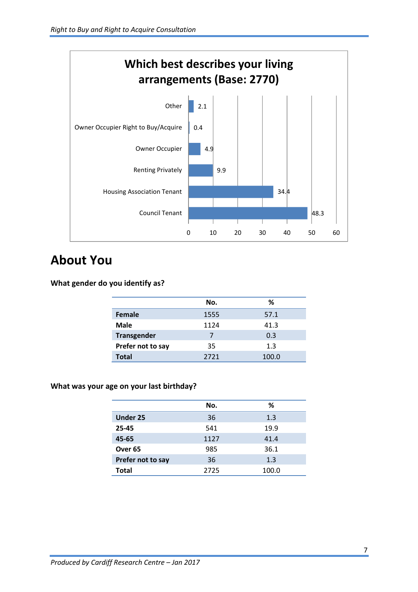

# **About You**

**What gender do you identify as?** 

|                    | No.  | %     |
|--------------------|------|-------|
| <b>Female</b>      | 1555 | 57.1  |
| Male               | 1124 | 41.3  |
| <b>Transgender</b> |      | 0.3   |
| Prefer not to say  | 35   | 1.3   |
| <b>Total</b>       | 2721 | 100.0 |

#### **What was your age on your last birthday?**

|                    | No.  | %     |
|--------------------|------|-------|
| <b>Under 25</b>    | 36   | 1.3   |
| 25-45              | 541  | 19.9  |
| 45-65              | 1127 | 41.4  |
| Over <sub>65</sub> | 985  | 36.1  |
| Prefer not to say  | 36   | 1.3   |
| <b>Total</b>       | 2725 | 100.0 |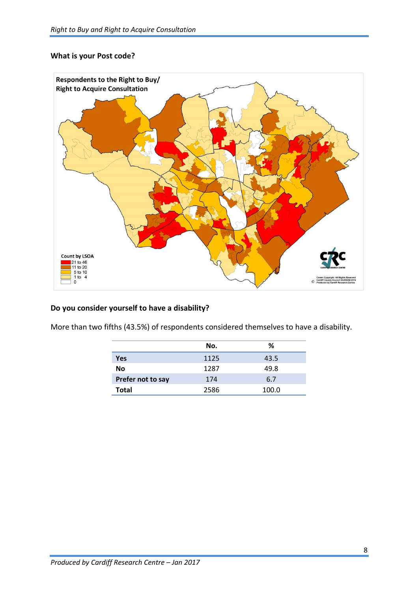#### **What is your Post code?**



#### **Do you consider yourself to have a disability?**

More than two fifths (43.5%) of respondents considered themselves to have a disability.

|                   | No.  | ℅     |
|-------------------|------|-------|
| Yes               | 1125 | 43.5  |
| No                | 1287 | 49.8  |
| Prefer not to say | 174  | 6.7   |
| <b>Total</b>      | 2586 | 100.0 |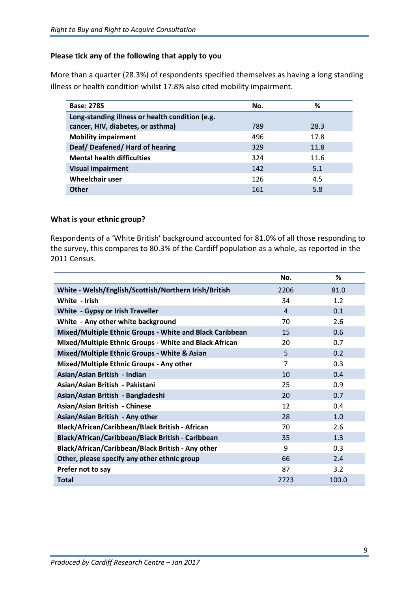#### **Please tick any of the following that apply to you**

More than a quarter (28.3%) of respondents specified themselves as having a long standing illness or health condition whilst 17.8% also cited mobility impairment.

| <b>Base: 2785</b>                               | No. | %    |
|-------------------------------------------------|-----|------|
| Long-standing illness or health condition (e.g. |     |      |
| cancer, HIV, diabetes, or asthma)               | 789 | 28.3 |
| <b>Mobility impairment</b>                      | 496 | 17.8 |
| Deaf/Deafened/Hard of hearing                   | 329 | 11.8 |
| <b>Mental health difficulties</b>               | 324 | 11.6 |
| <b>Visual impairment</b>                        | 142 | 5.1  |
| <b>Wheelchair user</b>                          | 126 | 4.5  |
| <b>Other</b>                                    | 161 | 5.8  |

#### **What is your ethnic group?**

Respondents of a 'White British' background accounted for 81.0% of all those responding to the survey, this compares to 80.3% of the Cardiff population as a whole, as reported in the 2011 Census.

|                                                          | No.  | ℅     |
|----------------------------------------------------------|------|-------|
| White - Welsh/English/Scottish/Northern Irish/British    | 2206 | 81.0  |
| White - Irish                                            | 34   | 1.2   |
| White - Gypsy or Irish Traveller                         | 4    | 0.1   |
| White - Any other white background                       | 70   | 2.6   |
| Mixed/Multiple Ethnic Groups - White and Black Caribbean | 15   | 0.6   |
| Mixed/Multiple Ethnic Groups - White and Black African   | 20   | 0.7   |
| Mixed/Multiple Ethnic Groups - White & Asian             | 5    | 0.2   |
| Mixed/Multiple Ethnic Groups - Any other                 | 7    | 0.3   |
| Asian/Asian British - Indian                             | 10   | 0.4   |
| Asian/Asian British - Pakistani                          | 25   | 0.9   |
| Asian/Asian British - Bangladeshi                        | 20   | 0.7   |
| Asian/Asian British - Chinese                            | 12   | 0.4   |
| Asian/Asian British - Any other                          | 28   | 1.0   |
| Black/African/Caribbean/Black British - African          | 70   | 2.6   |
| Black/African/Caribbean/Black British - Caribbean        | 35   | 1.3   |
| Black/African/Caribbean/Black British - Any other        | 9    | 0.3   |
| Other, please specify any other ethnic group             | 66   | 2.4   |
| Prefer not to say                                        | 87   | 3.2   |
| <b>Total</b>                                             | 2723 | 100.0 |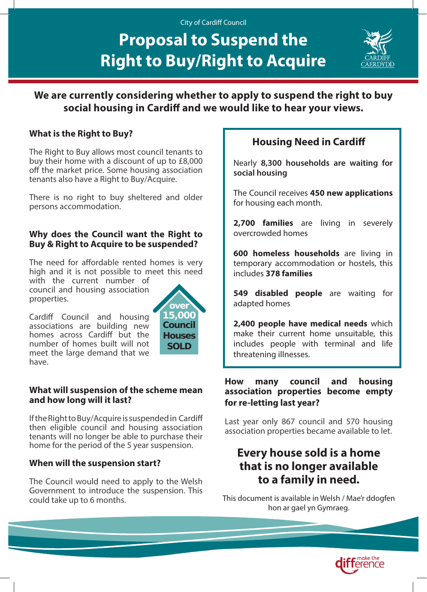#### City of Cardiff Council

# **Proposal to Suspend the Right to Buy/Right to Acquire**



**We are currently considering whether to apply to suspend the right to buy social housing in Cardiff and we would like to hear your views.**

## **What is the Right to Buy?**

The Right to Buy allows most council tenants to buy their home with a discount of up to £8,000 off the market price. Some housing association tenants also have a Right to Buy/Acquire.

There is no right to buy sheltered and older persons accommodation.

### **Why does the Council want the Right to Buy & Right to Acquire to be suspended?**

The need for affordable rented homes is very high and it is not possible to meet this need

with the current number of council and housing association properties.



Cardiff Council and housing associations are building new homes across Cardiff but the number of homes built will not meet the large demand that we have.

### **What will suspension of the scheme mean and how long will it last?**

If the Right to Buy/Acquire is suspended in Cardiff then eligible council and housing association tenants will no longer be able to purchase their home for the period of the 5 year suspension.

## **When will the suspension start?**

The Council would need to apply to the Welsh Government to introduce the suspension. This could take up to 6 months.

## **Housing Need in Cardiff**

Nearly **8,300 households are waiting for social housing** 

The Council receives **450 new applications** for housing each month.

**2,700 families** are living in severely overcrowded homes

**600 homeless households** are living in temporary accommodation or hostels, this includes **378 families**

**549 disabled people** are waiting for adapted homes

**2,400 people have medical needs** which make their current home unsuitable, this includes people with terminal and life threatening illnesses.

### **How many council and housing association properties become empty for re-letting last year?**

Last year only 867 council and 570 housing association properties became available to let.

# **Every house sold is a home that is no longer available to a family in need.**

This document is available in Welsh / Mae'r ddogfen hon ar gael yn Gymraeg.

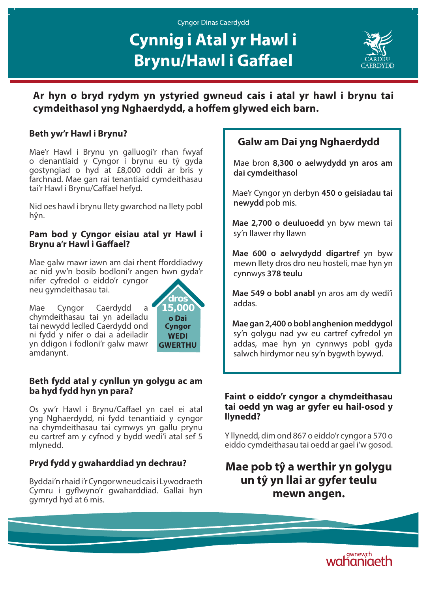## Cyngor Dinas Caerdydd

# **Cynnig i Atal yr Hawl i Brynu/Hawl i Gaffael**



**Ar hyn o bryd rydym yn ystyried gwneud cais i atal yr hawl i brynu tai cymdeithasol yng Nghaerdydd, a hoffem glywed eich barn.**

## **Beth yw'r Hawl i Brynu?**

Mae'r Hawl i Brynu yn galluogi'r rhan fwyaf o denantiaid y Cyngor i brynu eu tŷ gyda gostyngiad o hyd at £8,000 oddi ar bris y farchnad. Mae gan rai tenantiaid cymdeithasau tai'r Hawl i Brynu/Caffael hefyd.

Nid oes hawl i brynu llety gwarchod na llety pobl hŷn.

## **Pam bod y Cyngor eisiau atal yr Hawl i Brynu a'r Hawl i Gaffael?**

Mae galw mawr iawn am dai rhent fforddiadwy ac nid yw'n bosib bodloni'r angen hwn gyda'r nifer cyfredol o eiddo'r cyngor neu gymdeithasau tai.

Mae Cyngor Caerdydd a chymdeithasau tai yn adeiladu tai newydd ledled Caerdydd ond ni fydd y nifer o dai a adeiladir yn ddigon i fodloni'r galw mawr amdanynt.



## **Beth fydd atal y cynllun yn golygu ac am ba hyd fydd hyn yn para?**

Os yw'r Hawl i Brynu/Caffael yn cael ei atal yng Nghaerdydd, ni fydd tenantiaid y cyngor na chymdeithasau tai cymwys yn gallu prynu eu cartref am y cyfnod y bydd wedi'i atal sef 5 mlynedd.

## **Pryd fydd y gwaharddiad yn dechrau?**

Byddai'n rhaid i'r Cyngor wneud cais i Lywodraeth Cymru i gyflwyno'r gwaharddiad. Gallai hyn gymryd hyd at 6 mis.

## **Galw am Dai yng Nghaerdydd**

Mae bron **8,300 o aelwydydd yn aros am dai cymdeithasol**

Mae'r Cyngor yn derbyn **450 o geisiadau tai newydd** pob mis.

**Mae 2,700 o deuluoedd** yn byw mewn tai sy'n llawer rhy llawn

**Mae 600 o aelwydydd digartref** yn byw mewn llety dros dro neu hosteli, mae hyn yn cynnwys **378 teulu**

**Mae 549 o bobl anabl** yn aros am dy wedi'i addas.

**Mae gan 2,400 o bobl anghenion meddygol**  sy'n golygu nad yw eu cartref cyfredol yn addas, mae hyn yn cynnwys pobl gyda salwch hirdymor neu sy'n bygwth bywyd.

### **Faint o eiddo'r cyngor a chymdeithasau tai oedd yn wag ar gyfer eu hail-osod y llynedd?**

Y llynedd, dim ond 867 o eiddo'r cyngor a 570 o eiddo cymdeithasau tai oedd ar gael i'w gosod.

## **Mae pob tŷ a werthir yn golygu un tŷ yn llai ar gyfer teulu mewn angen.**

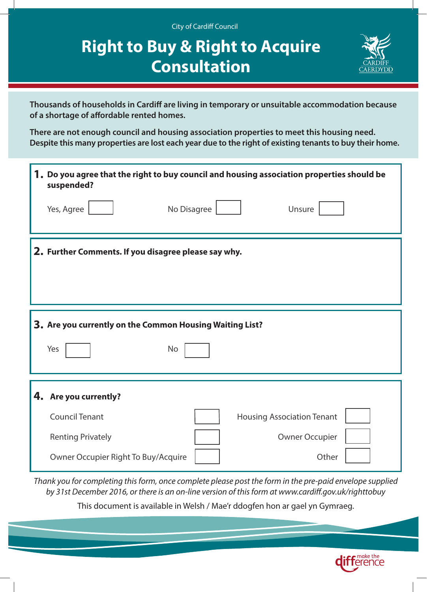| <b>City of Cardiff Council</b><br><b>Right to Buy &amp; Right to Acquire</b><br><b>Consultation</b>                                                                                                                                                                                                                                                  |
|------------------------------------------------------------------------------------------------------------------------------------------------------------------------------------------------------------------------------------------------------------------------------------------------------------------------------------------------------|
| Thousands of households in Cardiff are living in temporary or unsuitable accommodation because<br>of a shortage of affordable rented homes.<br>There are not enough council and housing association properties to meet this housing need.<br>Despite this many properties are lost each year due to the right of existing tenants to buy their home. |
| 1. Do you agree that the right to buy council and housing association properties should be<br>suspended?<br>Yes, Agree<br>No Disagree<br>Unsure                                                                                                                                                                                                      |
| 2. Further Comments. If you disagree please say why.                                                                                                                                                                                                                                                                                                 |
| 3. Are you currently on the Common Housing Waiting List?<br>Yes<br><b>No</b>                                                                                                                                                                                                                                                                         |
| 4. Are you currently?<br><b>Council Tenant</b><br><b>Housing Association Tenant</b><br><b>Owner Occupier</b><br><b>Renting Privately</b><br>Other<br>Owner Occupier Right To Buy/Acquire                                                                                                                                                             |

*Thank you for completing this form, once complete please post the form in the pre-paid envelope supplied by 31st December 2016, or there is an on-line version of this form at www.cardiff.gov.uk/righttobuy*

This document is available in Welsh / Mae'r ddogfen hon ar gael yn Gymraeg.